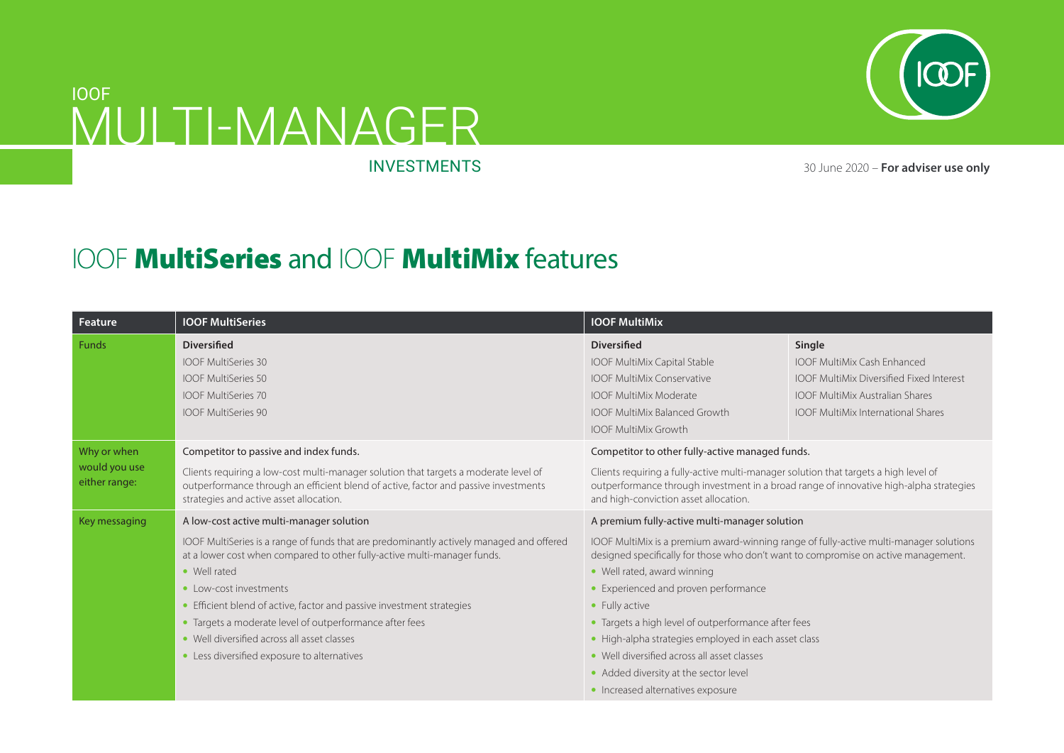

## MULTI-MANAGER IOOF

INVESTMENTS 30 June 2020 – **For adviser use only**

## IOOF MultiSeries and IOOF MultiMix features

| Feature                        | <b>IOOF MultiSeries</b>                                                                                                                                                                                                                                                                                                                            | <b>IOOF MultiMix</b>                                                                                                                                                                                                                                                                                                         |                                                                                                                                                                                        |
|--------------------------------|----------------------------------------------------------------------------------------------------------------------------------------------------------------------------------------------------------------------------------------------------------------------------------------------------------------------------------------------------|------------------------------------------------------------------------------------------------------------------------------------------------------------------------------------------------------------------------------------------------------------------------------------------------------------------------------|----------------------------------------------------------------------------------------------------------------------------------------------------------------------------------------|
| Funds                          | <b>Diversified</b><br><b>IOOF MultiSeries 30</b><br><b>IOOF MultiSeries 50</b><br><b>IOOF MultiSeries 70</b><br><b>IOOF MultiSeries 90</b>                                                                                                                                                                                                         | <b>Diversified</b><br>IOOF MultiMix Capital Stable<br><b>IOOF MultiMix Conservative</b><br><b>IOOF MultiMix Moderate</b><br><b>IOOF MultiMix Balanced Growth</b><br><b>IOOF MultiMix Growth</b>                                                                                                                              | Single<br><b>IOOF MultiMix Cash Enhanced</b><br><b>IOOF MultiMix Diversified Fixed Interest</b><br><b>IOOF MultiMix Australian Shares</b><br><b>IOOF MultiMix International Shares</b> |
| Why or when                    | Competitor to passive and index funds.                                                                                                                                                                                                                                                                                                             | Competitor to other fully-active managed funds.                                                                                                                                                                                                                                                                              |                                                                                                                                                                                        |
| would you use<br>either range: | Clients requiring a low-cost multi-manager solution that targets a moderate level of<br>outperformance through an efficient blend of active, factor and passive investments<br>strategies and active asset allocation.                                                                                                                             | Clients requiring a fully-active multi-manager solution that targets a high level of<br>outperformance through investment in a broad range of innovative high-alpha strategies<br>and high-conviction asset allocation.                                                                                                      |                                                                                                                                                                                        |
| Key messaging                  | A low-cost active multi-manager solution                                                                                                                                                                                                                                                                                                           | A premium fully-active multi-manager solution                                                                                                                                                                                                                                                                                |                                                                                                                                                                                        |
|                                | IOOF MultiSeries is a range of funds that are predominantly actively managed and offered<br>at a lower cost when compared to other fully-active multi-manager funds.<br>• Well rated<br>• Low-cost investments<br>• Efficient blend of active, factor and passive investment strategies<br>• Targets a moderate level of outperformance after fees | IOOF MultiMix is a premium award-winning range of fully-active multi-manager solutions<br>designed specifically for those who don't want to compromise on active management.<br>• Well rated, award winning<br>• Experienced and proven performance<br>• Fully active<br>• Targets a high level of outperformance after fees |                                                                                                                                                                                        |
|                                | • Well diversified across all asset classes                                                                                                                                                                                                                                                                                                        | • High-alpha strategies employed in each asset class                                                                                                                                                                                                                                                                         |                                                                                                                                                                                        |
|                                | • Less diversified exposure to alternatives                                                                                                                                                                                                                                                                                                        | • Well diversified across all asset classes                                                                                                                                                                                                                                                                                  |                                                                                                                                                                                        |
|                                |                                                                                                                                                                                                                                                                                                                                                    | • Added diversity at the sector level                                                                                                                                                                                                                                                                                        |                                                                                                                                                                                        |
|                                |                                                                                                                                                                                                                                                                                                                                                    | • Increased alternatives exposure                                                                                                                                                                                                                                                                                            |                                                                                                                                                                                        |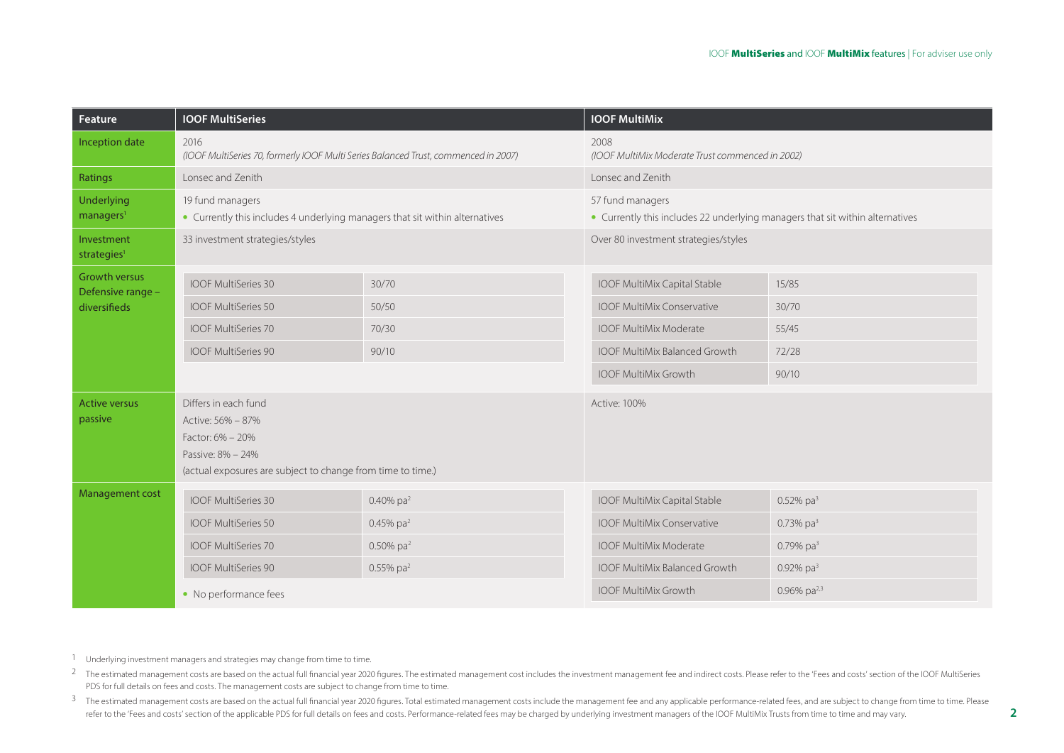| Feature                               | <b>IOOF MultiSeries</b>                                                                                                                           |                          | <b>IOOF MultiMix</b>                                                                              |                          |
|---------------------------------------|---------------------------------------------------------------------------------------------------------------------------------------------------|--------------------------|---------------------------------------------------------------------------------------------------|--------------------------|
| Inception date                        | 2016<br>(IOOF MultiSeries 70, formerly IOOF Multi Series Balanced Trust, commenced in 2007)                                                       |                          | 2008<br>(IOOF MultiMix Moderate Trust commenced in 2002)                                          |                          |
| Ratings                               | Lonsec and Zenith                                                                                                                                 |                          | Lonsec and Zenith                                                                                 |                          |
| Underlying<br>managers <sup>1</sup>   | 19 fund managers<br>• Currently this includes 4 underlying managers that sit within alternatives                                                  |                          | 57 fund managers<br>• Currently this includes 22 underlying managers that sit within alternatives |                          |
| Investment<br>strategies <sup>1</sup> | 33 investment strategies/styles                                                                                                                   |                          | Over 80 investment strategies/styles                                                              |                          |
| <b>Growth versus</b>                  | <b>IOOF MultiSeries 30</b>                                                                                                                        | 30/70                    | IOOF MultiMix Capital Stable                                                                      | 15/85                    |
| Defensive range -<br>diversifieds     | <b>IOOF MultiSeries 50</b>                                                                                                                        | 50/50                    | <b>IOOF MultiMix Conservative</b>                                                                 | 30/70                    |
|                                       | <b>IOOF MultiSeries 70</b>                                                                                                                        | 70/30                    | <b>IOOF MultiMix Moderate</b>                                                                     | 55/45                    |
|                                       | <b>IOOF MultiSeries 90</b>                                                                                                                        | 90/10                    | <b>IOOF MultiMix Balanced Growth</b>                                                              | 72/28                    |
|                                       |                                                                                                                                                   |                          | <b>IOOF MultiMix Growth</b>                                                                       | 90/10                    |
| <b>Active versus</b><br>passive       | Differs in each fund<br>Active: 56% - 87%<br>Factor: 6% - 20%<br>Passive: 8% - 24%<br>(actual exposures are subject to change from time to time.) |                          | <b>Active: 100%</b>                                                                               |                          |
| <b>Management cost</b>                | <b>IOOF MultiSeries 30</b>                                                                                                                        | 0.40% pa <sup>2</sup>    | <b>IOOF MultiMix Capital Stable</b>                                                               | $0.52\%$ pa <sup>3</sup> |
|                                       | <b>IOOF MultiSeries 50</b>                                                                                                                        | 0.45% pa <sup>2</sup>    | <b>IOOF MultiMix Conservative</b>                                                                 | 0.73% $pa^3$             |
|                                       | <b>IOOF MultiSeries 70</b>                                                                                                                        | $0.50\%$ pa <sup>2</sup> | <b>IOOF MultiMix Moderate</b>                                                                     | 0.79% $pa^3$             |
|                                       | <b>IOOF MultiSeries 90</b>                                                                                                                        | $0.55\%$ pa <sup>2</sup> | <b>IOOF MultiMix Balanced Growth</b>                                                              | 0.92% $pa^3$             |
|                                       | • No performance fees                                                                                                                             |                          | <b>IOOF MultiMix Growth</b>                                                                       | 0.96% pa <sup>2,3</sup>  |

1 Underlying investment managers and strategies may change from time to time.

<sup>2</sup> The estimated management costs are based on the actual full financial vear 2020 figures. The estimated management cost includes the investment management fee and indirect costs. Please refer to the 'Fees and costs' sec PDS for full details on fees and costs. The management costs are subject to change from time to time.

<sup>3</sup> The estimated management costs are based on the actual full financial year 2020 figures. Total estimated management costs include the management fee and any applicable performance-related fees, and are subject to chang refer to the 'Fees and costs' section of the applicable PDS for full details on fees and costs. Performance-related fees may be charged by underlying investment managers of the IOOF MultiMix Trusts from time to time and ma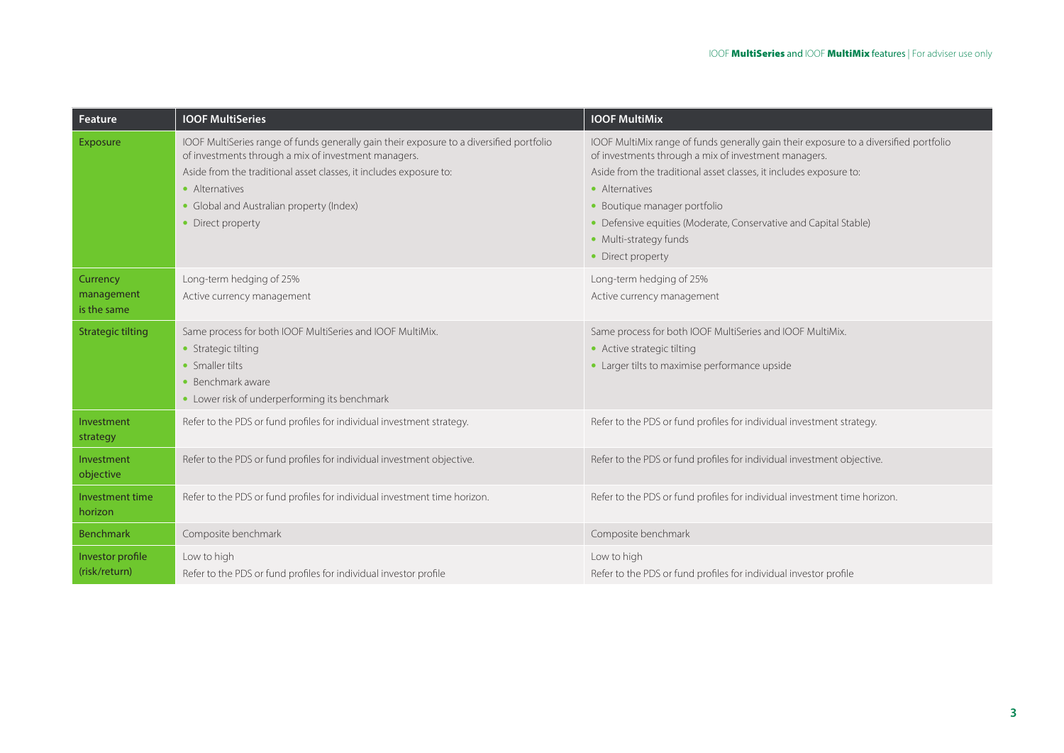| Feature                               | <b>IOOF MultiSeries</b>                                                                                                                                                                                                                                                                                   | <b>IOOF MultiMix</b>                                                                                                                                                                                                                                                                                                                                                                     |
|---------------------------------------|-----------------------------------------------------------------------------------------------------------------------------------------------------------------------------------------------------------------------------------------------------------------------------------------------------------|------------------------------------------------------------------------------------------------------------------------------------------------------------------------------------------------------------------------------------------------------------------------------------------------------------------------------------------------------------------------------------------|
| Exposure                              | IOOF MultiSeries range of funds generally gain their exposure to a diversified portfolio<br>of investments through a mix of investment managers.<br>Aside from the traditional asset classes, it includes exposure to:<br>• Alternatives<br>• Global and Australian property (Index)<br>• Direct property | IOOF MultiMix range of funds generally gain their exposure to a diversified portfolio<br>of investments through a mix of investment managers.<br>Aside from the traditional asset classes, it includes exposure to:<br>• Alternatives<br>· Boutique manager portfolio<br>• Defensive equities (Moderate, Conservative and Capital Stable)<br>• Multi-strategy funds<br>• Direct property |
| Currency<br>management<br>is the same | Long-term hedging of 25%<br>Active currency management                                                                                                                                                                                                                                                    | Long-term hedging of 25%<br>Active currency management                                                                                                                                                                                                                                                                                                                                   |
| <b>Strategic tilting</b>              | Same process for both IOOF MultiSeries and IOOF MultiMix.<br>• Strategic tilting<br>• Smaller tilts<br>$\bullet$ Benchmark aware<br>• Lower risk of underperforming its benchmark                                                                                                                         | Same process for both IOOF MultiSeries and IOOF MultiMix.<br>• Active strategic tilting<br>• Larger tilts to maximise performance upside                                                                                                                                                                                                                                                 |
| Investment<br>strategy                | Refer to the PDS or fund profiles for individual investment strategy.                                                                                                                                                                                                                                     | Refer to the PDS or fund profiles for individual investment strategy.                                                                                                                                                                                                                                                                                                                    |
| Investment<br>objective               | Refer to the PDS or fund profiles for individual investment objective.                                                                                                                                                                                                                                    | Refer to the PDS or fund profiles for individual investment objective.                                                                                                                                                                                                                                                                                                                   |
| Investment time<br>horizon            | Refer to the PDS or fund profiles for individual investment time horizon.                                                                                                                                                                                                                                 | Refer to the PDS or fund profiles for individual investment time horizon.                                                                                                                                                                                                                                                                                                                |
| <b>Benchmark</b>                      | Composite benchmark                                                                                                                                                                                                                                                                                       | Composite benchmark                                                                                                                                                                                                                                                                                                                                                                      |
| Investor profile<br>(risk/return)     | Low to high<br>Refer to the PDS or fund profiles for individual investor profile                                                                                                                                                                                                                          | Low to high<br>Refer to the PDS or fund profiles for individual investor profile                                                                                                                                                                                                                                                                                                         |